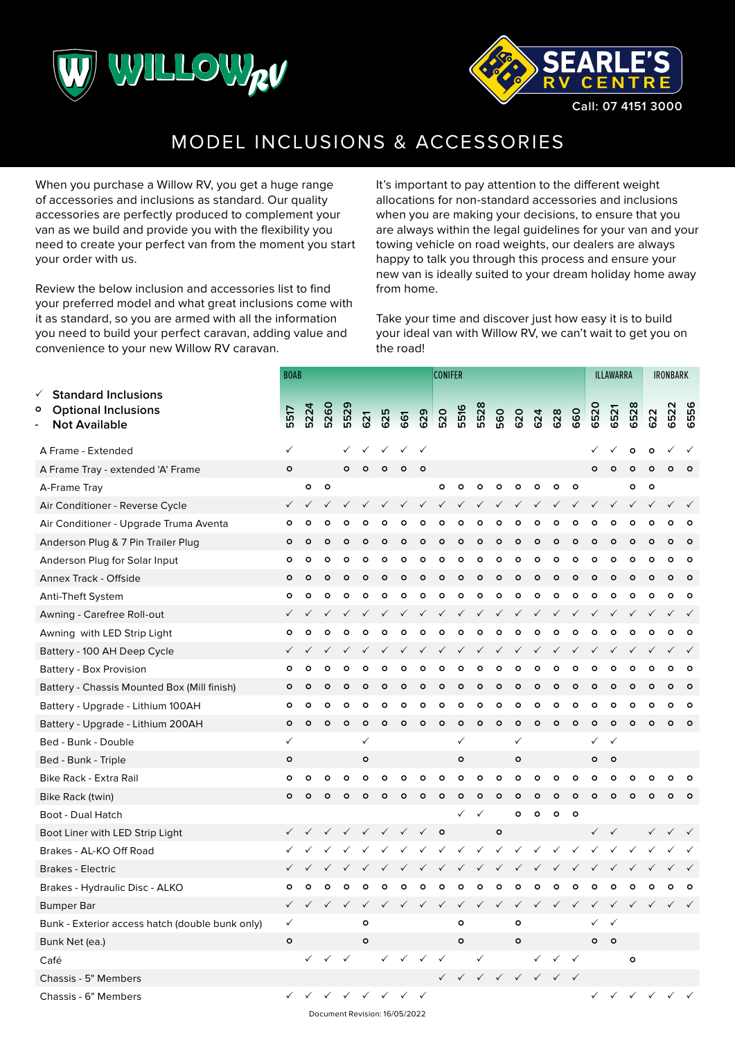



## MODEL INCLUSIONS & ACCESSORIES

When you purchase a Willow RV, you get a huge range of accessories and inclusions as standard. Our quality accessories are perfectly produced to complement your van as we build and provide you with the flexibility you need to create your perfect van from the moment you start your order with us.

Review the below inclusion and accessories list to find your preferred model and what great inclusions come with it as standard, so you are armed with all the information you need to build your perfect caravan, adding value and convenience to your new Willow RV caravan.

It's important to pay attention to the different weight allocations for non-standard accessories and inclusions when you are making your decisions, to ensure that you are always within the legal guidelines for your van and your towing vehicle on road weights, our dealers are always happy to talk you through this process and ensure your new van is ideally suited to your dream holiday home away from home.

Take your time and discover just how easy it is to build your ideal van with Willow RV, we can't wait to get you on the road!

|              |          |              |              |              |              |              |              |              |              |                |              |              |              |              |              | <b>ILLAWARRA</b> |              |              | <b>IRONBARK</b> |         |          |
|--------------|----------|--------------|--------------|--------------|--------------|--------------|--------------|--------------|--------------|----------------|--------------|--------------|--------------|--------------|--------------|------------------|--------------|--------------|-----------------|---------|----------|
| 5517         | 5224     | 5260         | 5529         | 621          | 625          | 661          | 629          | 520          | 5516         | 5528           | 560          | 620          | 624          | 628          | 660          | 6520             | 6521         | 6528         | 622             | 6522    | 6556     |
| $\checkmark$ |          |              |              |              |              | ✓            | $\checkmark$ |              |              |                |              |              |              |              |              |                  |              | $\circ$      | $\circ$         |         |          |
| $\circ$      |          |              | $\circ$      | $\circ$      | $\circ$      | $\circ$      | $\circ$      |              |              |                |              |              |              |              |              | $\circ$          | $\circ$      | $\circ$      | $\circ$         | $\circ$ |          |
|              | $\circ$  | $\circ$      |              |              |              |              |              | $\circ$      | $\mathbf{o}$ | $\circ$        | $\circ$      | $\circ$      | o            | $\circ$      | $\circ$      |                  |              | $\circ$      | $\circ$         |         |          |
| ✓            |          | ✓            |              |              |              |              |              |              |              |                |              |              |              |              |              |                  |              |              |                 |         |          |
| o            | $\circ$  | $\circ$      | $\circ$      | $\circ$      | Ο            | $\circ$      | $\circ$      | $\circ$      | $\circ$      | $\circ$        | $\circ$      | $\circ$      | $\circ$      | $\circ$      | $\circ$      | $\circ$          | $\circ$      | $\circ$      | $\circ$         | $\circ$ | $\Omega$ |
| Ο            | $\Omega$ | $\circ$      | O            | $\Omega$     | Ο            | Ο            | $\Omega$     | Ο            | ۰            | ۰              | $\circ$      | $\circ$      | o            | Ο            | $\circ$      | ۰                | $\circ$      | Ο            | Ο               |         |          |
| ٥            | $\circ$  | $\circ$      | ٥            | ٥            | ٥            | $\circ$      | $\circ$      | ۰            | $\circ$      | $\circ$        | $\circ$      | $\circ$      | $\circ$      | $\circ$      | $\circ$      | $\circ$          | $\circ$      | ٥            | $\circ$         | ٥       | Ω        |
| $\circ$      | $\circ$  | $\circ$      | $\circ$      | $\circ$      | $\circ$      | $\circ$      | $\circ$      | $\circ$      | $\circ$      | $\circ$        | $\circ$      | $\circ$      | $\circ$      | $\circ$      | $\circ$      | $\circ$          | $\circ$      | $\circ$      | $\circ$         |         | $\circ$  |
| $\circ$      | $\circ$  | $\circ$      | $\circ$      | $\circ$      | $\circ$      | $\circ$      | $\circ$      | $\circ$      | $\mathbf{o}$ | $\circ$        | $\circ$      | $\circ$      | $\circ$      | $\circ$      | $\circ$      | $\circ$          | $\circ$      | $\circ$      | $\circ$         | $\circ$ | $\circ$  |
| ✓            |          | ✓            | $\checkmark$ | $\checkmark$ |              |              | ✓            | $\checkmark$ | ✓            | ✓              | $\checkmark$ | ✓            | ✓            |              | ✓            | ✓                | ✓            |              |                 |         |          |
| $\circ$      | $\circ$  | $\circ$      | $\circ$      | $\circ$      | $\circ$      | $\circ$      | $\circ$      | $\circ$      | $\circ$      | $\circ$        | $\circ$      | $\circ$      | $\circ$      | $\circ$      | $\circ$      | $\circ$          | $\circ$      | $\circ$      | O               | $\circ$ | $\Omega$ |
|              |          |              |              |              |              |              |              |              |              |                |              |              |              |              |              |                  |              |              |                 |         |          |
| O            | $\circ$  | $\circ$      | $\circ$      | $\circ$      | Ο            | $\circ$      | $\circ$      | $\circ$      | $\circ$      | $\circ$        | o            | $\circ$      | $\circ$      | $\circ$      | $\circ$      | $\circ$          | $\circ$      | ٥            | Ο               | $\circ$ | $\circ$  |
| ٥            | $\circ$  | $\circ$      | O            | $\circ$      | ٥            | ٥            | $\circ$      | O            | $\circ$      | $\circ$        | $\circ$      | $\circ$      | $\circ$      | $\circ$      | $\circ$      | $\circ$          | $\circ$      | ٥            | ٥               |         |          |
| o            | $\circ$  | $\circ$      | $\circ$      | $\circ$      | ٥            | $\circ$      | $\circ$      | ٥            | $\mathbf{o}$ | $\circ$        | $\circ$      | $\circ$      | $\circ$      | $\circ$      | $\circ$      | $\circ$          | $\circ$      | ٥            | $\circ$         | о       | ο        |
| $\circ$      | $\circ$  | $\circ$      | $\circ$      | $\circ$      | $\circ$      | $\circ$      | $\circ$      | $\circ$      | $\circ$      | $\circ$        | $\circ$      | $\circ$      | $\circ$      | $\circ$      | $\circ$      | $\circ$          | $\circ$      | $\circ$      | $\circ$         | $\circ$ | $\circ$  |
| ✓            |          |              |              | $\checkmark$ |              |              |              |              | ✓            |                |              | $\checkmark$ |              |              |              | ✓                | $\checkmark$ |              |                 |         |          |
| $\circ$      |          |              |              | $\circ$      |              |              |              |              | $\circ$      |                |              | $\circ$      |              |              |              | o                | $\circ$      |              |                 |         |          |
| $\circ$      | $\circ$  | $\circ$      | $\circ$      | ۰            | Ο            | Ο            | ۰            | ۰            | $\circ$      | $\circ$        | $\circ$      | $\circ$      | ۰            | $\circ$      | $\circ$      | $\circ$          | Ο            | Ο            | Ο               | с       |          |
| Ο            | $\Omega$ | $\circ$      | Ο            | $\Omega$     | $\circ$      | $\circ$      | $\circ$      | $\circ$      | $\circ$      | $\circ$        | $\circ$      | ۰            | $\circ$      | $\circ$      | $\circ$      | $\circ$          | $\circ$      | $\circ$      | Ο               |         |          |
|              |          |              |              |              |              |              |              |              | ✓            | ✓              |              | $\circ$      | $\circ$      | $\circ$      | $\circ$      |                  |              |              |                 |         |          |
| ✓            |          | $\checkmark$ | $\checkmark$ | $\checkmark$ | $\checkmark$ | $\checkmark$ | $\checkmark$ | $\circ$      |              |                | $\circ$      |              |              |              |              | $\checkmark$     | $\checkmark$ |              |                 |         |          |
|              |          |              |              |              |              |              |              | $\checkmark$ | $\checkmark$ | $\checkmark$   | $\checkmark$ | $\checkmark$ | $\checkmark$ | $\checkmark$ | ✓            | $\checkmark$     |              |              |                 |         |          |
|              |          |              |              |              |              |              |              |              |              |                |              |              |              |              |              |                  |              |              |                 |         |          |
| $\circ$      | $\circ$  | $\circ$      | $\circ$      | $\circ$      | O            | Ō            | $\circ$      | $\circ$      | $\circ$      | $\circ$        | $\circ$      | $\circ$      | $\circ$      | $\circ$      | $\circ$      | $\circ$          | $\circ$      | O            | O               |         | $\circ$  |
| ✓            |          |              | $\checkmark$ | $\checkmark$ |              |              | ✓            | $\checkmark$ | ✓            | $\checkmark$   | $\checkmark$ |              |              |              | ✓            | ✓                |              |              |                 |         |          |
| $\checkmark$ |          |              |              | $\circ$      |              |              |              |              | o            |                |              | $\circ$      |              |              |              | ✓                | $\checkmark$ |              |                 |         |          |
| $\mathsf{o}$ |          |              |              | $\mathbf{o}$ |              |              |              |              | $\circ$      |                |              | $\mathsf{o}$ |              |              |              | $\circ$          | $\circ$      |              |                 |         |          |
|              |          |              |              |              | ✓            |              |              |              |              | $\checkmark$   |              |              | ✓            |              | $\checkmark$ |                  |              | $\circ$      |                 |         |          |
|              |          |              |              |              |              |              |              |              | ✓            | $\checkmark$   | $\checkmark$ | $\checkmark$ |              | $\checkmark$ |              |                  |              |              |                 |         |          |
|              |          |              | $\checkmark$ |              | $\checkmark$ | $\checkmark$ |              |              |              |                |              |              |              |              |              | $\checkmark$     | $\checkmark$ | $\checkmark$ |                 |         |          |
|              |          | <b>BOAB</b>  |              |              | $\checkmark$ |              |              |              |              | <b>CONIFER</b> |              |              |              |              |              | $\checkmark$     |              |              |                 |         |          |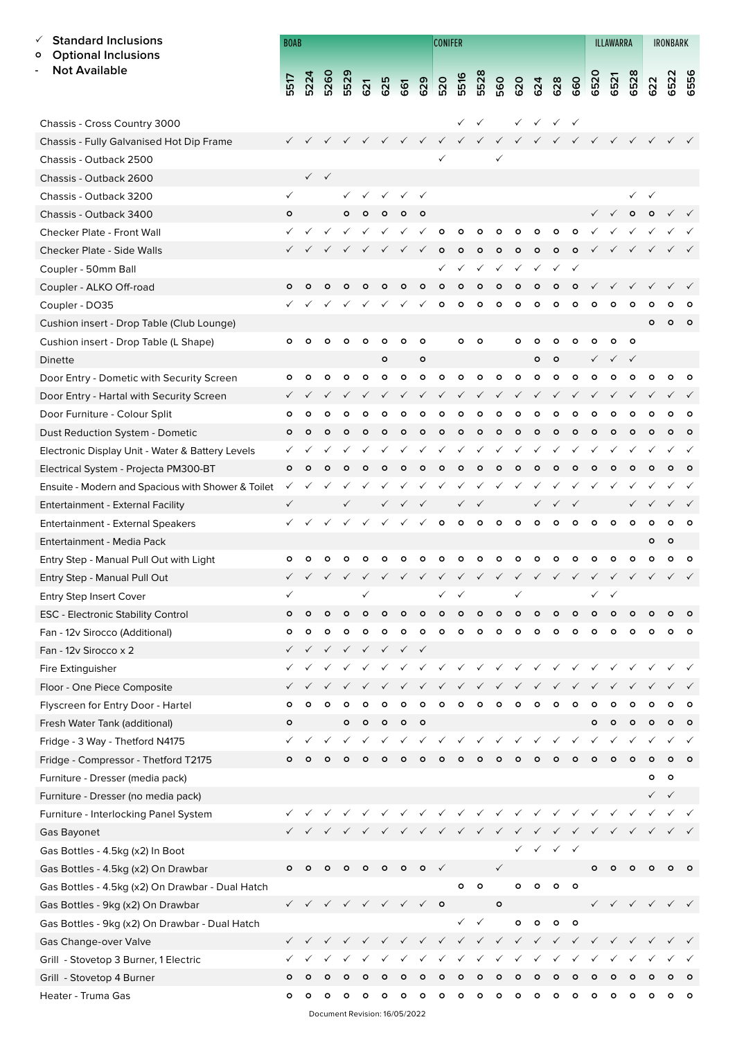## **Standard Inclusions**

**Optional Inclusions**

Chassis - Cross Country 3000

**- Not Available**

| <b>BOAB</b>                                                                                                                                                                                                                                                                                                                                                                                                                           |  |  |  |  |  |  | <b>CONIFER</b> |  |  | <b>ILLAWARRA</b> | IRONBARK                                                                      |  |  |  |  |  |
|---------------------------------------------------------------------------------------------------------------------------------------------------------------------------------------------------------------------------------------------------------------------------------------------------------------------------------------------------------------------------------------------------------------------------------------|--|--|--|--|--|--|----------------|--|--|------------------|-------------------------------------------------------------------------------|--|--|--|--|--|
| $\begin{array}{cccccccccccccc} \texttt{F} & \texttt{A} & \texttt{G} & \texttt{B} & \texttt{B} & \texttt{B} & \texttt{B} & \texttt{B} & \texttt{B} & \texttt{B} & \texttt{B} & \texttt{B} & \texttt{B} & \texttt{B} & \texttt{B} & \texttt{B} & \texttt{B} & \texttt{B} & \texttt{B} & \texttt{B} & \texttt{B} & \texttt{B} & \texttt{B} & \texttt{B} & \texttt{B} & \texttt{B} & \texttt{B} & \texttt{B} & \texttt{B} & \texttt{B} &$ |  |  |  |  |  |  |                |  |  |                  |                                                                               |  |  |  |  |  |
|                                                                                                                                                                                                                                                                                                                                                                                                                                       |  |  |  |  |  |  |                |  |  |                  | $\checkmark$ $\checkmark$ $\checkmark$ $\checkmark$ $\checkmark$ $\checkmark$ |  |  |  |  |  |

| Chassis - Fully Galvanised Hot Dip Frame           | $\checkmark$ | $\checkmark$ | $\checkmark$ |              | $\checkmark$                                        | $\checkmark$              | $\checkmark$ | $\checkmark$              | $\checkmark$ | $\checkmark$ | $\checkmark$ | $\checkmark$                           |              |                           | <b>√ √ √ √ √</b> √        |              |                                        |              | $\checkmark$ | $\checkmark$              | $\checkmark$ | $\checkmark$ |
|----------------------------------------------------|--------------|--------------|--------------|--------------|-----------------------------------------------------|---------------------------|--------------|---------------------------|--------------|--------------|--------------|----------------------------------------|--------------|---------------------------|---------------------------|--------------|----------------------------------------|--------------|--------------|---------------------------|--------------|--------------|
| Chassis - Outback 2500                             |              |              |              |              |                                                     |                           |              |                           |              |              |              | ✓                                      |              |                           |                           |              |                                        |              |              |                           |              |              |
| Chassis - Outback 2600                             |              |              | $\checkmark$ |              |                                                     |                           |              |                           |              |              |              |                                        |              |                           |                           |              |                                        |              |              |                           |              |              |
| Chassis - Outback 3200                             | ✓            |              |              | $\checkmark$ | $\checkmark$                                        | $\checkmark$              | $\checkmark$ | $\checkmark$              |              |              |              |                                        |              |                           |                           |              |                                        |              |              | $\checkmark$              |              |              |
| Chassis - Outback 3400                             | $\circ$      |              |              | o            | $\circ$                                             | $\circ$                   | $\circ$      | $\circ$                   |              |              |              |                                        |              |                           |                           |              | $\checkmark$                           | $\checkmark$ | $\circ$      | $\circ$                   |              |              |
| Checker Plate - Front Wall                         | $\checkmark$ | $\checkmark$ | $\checkmark$ | $\checkmark$ | $\checkmark$                                        | $\checkmark$              | $\checkmark$ | $\checkmark$              | $\circ$      | $\circ$      | $\circ$      | $\circ$                                | $\circ$      | $\circ$                   | $\circ$                   | $\circ$      | ✓                                      |              |              |                           |              |              |
| Checker Plate - Side Walls                         |              |              |              |              | $\checkmark$                                        | $\checkmark$              |              | $\checkmark$ $\checkmark$ | $\circ$      | $\circ$      | $\circ$      | $\circ$                                | $\circ$      | $\circ$                   | $\circ$                   | $\circ$      |                                        |              |              |                           |              |              |
| Coupler - 50mm Ball                                |              |              |              |              |                                                     |                           |              |                           | ✓            | $\checkmark$ | $\checkmark$ | ✓                                      | $\checkmark$ | $\checkmark$              | ✓                         | ✓            |                                        |              |              |                           |              |              |
| Coupler - ALKO Off-road                            | $\circ$      |              | ٥            |              |                                                     | ٥                         | $\circ$      | $\circ$                   | $\circ$      | $\circ$      | $\circ$      | $\circ$                                | $\circ$      | $\circ$                   | $\circ$                   | $\circ$      |                                        |              |              |                           |              |              |
| Coupler - DO35                                     |              | $\checkmark$ | ✓            |              |                                                     |                           |              |                           | o            | $\circ$      | $\circ$      | o                                      | $\mathsf{o}$ | $\circ$                   | $\circ$                   | $\circ$      | $\circ$                                | ۰            | ۰            | $\circ$                   |              | $\circ$      |
| Cushion insert - Drop Table (Club Lounge)          |              |              |              |              |                                                     |                           |              |                           |              |              |              |                                        |              |                           |                           |              |                                        |              |              | $\circ$                   | $\circ$      | $\circ$      |
| Cushion insert - Drop Table (L Shape)              | $\circ$      | $\circ$      | $\circ$      | $\circ$      | $\circ$                                             | $\circ$                   | $\circ$      | $\circ$                   |              | ۰            | $\circ$      |                                        | $\circ$      | ۰                         | ۰                         | $\circ$      | ۰                                      | ۰            | $\circ$      |                           |              |              |
| Dinette                                            |              |              |              |              |                                                     | $\circ$                   |              | $\circ$                   |              |              |              |                                        |              | $\circ$                   | $\circ$                   |              | $\checkmark$                           |              | $\checkmark$ |                           |              |              |
| Door Entry - Dometic with Security Screen          | ۰            |              |              |              | ۰                                                   | ۰                         | $\circ$      | ۰                         | $\circ$      | ۰            | ۰            | o                                      | $\circ$      | $\circ$                   | $\circ$                   | $\circ$      | ۰                                      | ۰            |              |                           |              | ۰            |
| Door Entry - Hartal with Security Screen           | $\checkmark$ |              | $\checkmark$ | $\checkmark$ | $\checkmark$                                        | $\checkmark$              | $\checkmark$ | $\checkmark$              | $\checkmark$ | $\checkmark$ | $\checkmark$ | $\checkmark$                           | $\checkmark$ | $\checkmark$              | $\checkmark$              | $\checkmark$ | $\checkmark$                           |              |              |                           |              |              |
| Door Furniture - Colour Split                      | ۰            |              | ٥            | ۰            | ۰                                                   | ۰                         | $\circ$      | $\circ$                   | $\circ$      | o            | $\circ$      | $\circ$                                | $\circ$      | $\circ$                   | o                         | $\circ$      | $\circ$                                | ۰            | ٥            |                           |              | $\circ$      |
| Dust Reduction System - Dometic                    | ۰            | $\circ$      | $\circ$      | $\circ$      | $\circ$                                             | ۰                         | $\circ$      | $\circ$                   | $\circ$      | $\circ$      | $\circ$      | $\circ$                                | $\circ$      | $\circ$                   | $\circ$                   | $\circ$      | $\circ$                                | ۰            | $\circ$      | $\circ$                   | $\circ$      | $\circ$      |
| Electronic Display Unit - Water & Battery Levels   |              |              |              |              |                                                     |                           |              |                           | ✓            | $\checkmark$ | $\checkmark$ | ✓                                      | $\checkmark$ | $\checkmark$              | ✓                         |              |                                        |              |              |                           |              |              |
| Electrical System - Projecta PM300-BT              | ۰            | ۰            | $\circ$      | $\circ$      | $\circ$                                             | ۰                         | $\circ$      | $\circ$                   | $\circ$      | $\circ$      | $\circ$      | $\circ$                                | $\circ$      | $\circ$                   | $\circ$                   | $\circ$      | $\circ$                                | ۰            | $\circ$      | o                         | ۰            | $\circ$      |
| Ensuite - Modern and Spacious with Shower & Toilet | $\checkmark$ |              |              |              |                                                     |                           | ✓            |                           | $\checkmark$ | $\checkmark$ | $\checkmark$ | $\checkmark$                           | $\checkmark$ | $\checkmark$              | ✓                         | $\checkmark$ |                                        | $\checkmark$ |              |                           |              |              |
| <b>Entertainment - External Facility</b>           | $\checkmark$ |              |              | ✓            |                                                     | $\checkmark$              | $\checkmark$ | $\checkmark$              |              | ✓            | $\checkmark$ |                                        |              | $\checkmark$              | $\checkmark$              | $\checkmark$ |                                        |              | ✓            |                           |              |              |
| Entertainment - External Speakers                  |              |              | $\checkmark$ | $\checkmark$ | $\checkmark$                                        | $\checkmark$              |              | $\checkmark$              | $\circ$      | $\circ$      | $\circ$      | $\circ$                                | $\circ$      | $\circ$                   | $\circ$                   | $\circ$      | $\circ$                                | $\circ$      | $\circ$      | $\circ$                   | $\circ$      | $\circ$      |
| Entertainment - Media Pack                         |              |              |              |              |                                                     |                           |              |                           |              |              |              |                                        |              |                           |                           |              |                                        |              |              | ۰                         | $\circ$      |              |
| Entry Step - Manual Pull Out with Light            | $\circ$      | $\circ$      | ۰            | $\circ$      | ۰                                                   | ۰                         | ۰            | ۰                         | ۰            | $\circ$      | $\circ$      | ۰                                      | $\circ$      | $\circ$                   | ۰                         | $\circ$      | $\circ$                                | ۰            | ۰            | $\circ$                   | ۰            | $\circ$      |
| Entry Step - Manual Pull Out                       | $\checkmark$ |              |              | $\checkmark$ |                                                     | $\checkmark$ $\checkmark$ | $\checkmark$ | $\checkmark$              | $\checkmark$ | $\checkmark$ | $\checkmark$ | $\checkmark$                           | $\checkmark$ | $\checkmark$              | $\checkmark$              | $\checkmark$ | $\checkmark$                           |              |              |                           |              |              |
| <b>Entry Step Insert Cover</b>                     | ✓            |              |              |              | $\checkmark$                                        |                           |              |                           | ✓            | $\checkmark$ |              |                                        | $\checkmark$ |                           |                           |              | $\checkmark$                           | $\checkmark$ |              |                           |              |              |
| <b>ESC - Electronic Stability Control</b>          | o            | ۰            | $\circ$      | $\circ$      | $\circ$                                             | $\circ$                   | $\circ$      | $\circ$                   | ۰            | ۰            | $\circ$      | ۰                                      | ۰            | ۰                         | ۰                         | $\circ$      | $\circ$                                | ۰            | ۰            |                           |              | O            |
| Fan - 12v Sirocco (Additional)                     | $\circ$      | $\circ$      | ۰            | $\circ$      | $\circ$                                             | $\circ$                   | $\circ$      | $\circ$                   | $\circ$      | $\circ$      | $\circ$      | $\circ$                                | $\circ$      | $\circ$                   | $\circ$                   | $\circ$      | $\circ$                                | ۰            | ۰            | $\circ$                   | $\circ$      | $\circ$      |
| Fan - 12v Sirocco x 2                              |              |              |              | $\checkmark$ | $\checkmark$                                        | $\checkmark$              |              |                           |              |              |              |                                        |              |                           |                           |              |                                        |              |              |                           |              |              |
| Fire Extinguisher                                  |              |              |              |              |                                                     |                           |              | $\checkmark$              | $\checkmark$ | $\checkmark$ | $\checkmark$ | $\checkmark$                           | $\checkmark$ | $\checkmark$              | $\checkmark$              | $\checkmark$ |                                        |              |              |                           |              |              |
| Floor - One Piece Composite                        | $\checkmark$ | $\checkmark$ | $\checkmark$ | $\checkmark$ | $\checkmark$                                        | $\checkmark$              | $\checkmark$ | $\checkmark$              | $\checkmark$ | $\checkmark$ | $\checkmark$ |                                        |              |                           |                           |              |                                        |              |              |                           |              |              |
| Flyscreen for Entry Door - Hartel                  | ۰            | $\circ$      | ۰            |              |                                                     | ۰                         | ۰            | ۰                         | ۰            | $\circ$      | $\circ$      | ۰                                      | ۰            | $\circ$                   | $\circ$                   | $\circ$      | $\circ$                                |              | ۰            | ۰                         | ۰            | $\circ$      |
| Fresh Water Tank (additional)                      | $\circ$      |              |              | ۰            | $\circ$                                             | $\circ$                   | $\circ$      | $\circ$                   |              |              |              |                                        |              |                           |                           |              | $\circ$                                | $\circ$      | $\circ$      | $\circ$                   | $\circ$      | $\circ$      |
| Fridge - 3 Way - Thetford N4175                    | $\checkmark$ | $\checkmark$ | $\checkmark$ | $\checkmark$ |                                                     | $\checkmark$ $\checkmark$ | $\checkmark$ |                           |              |              |              | √ √ √ √ √ √ √                          |              |                           | $\checkmark$              | $\checkmark$ | $\checkmark$                           | $\checkmark$ | $\checkmark$ |                           |              |              |
| Fridge - Compressor - Thetford T2175               |              | O            | $\circ$      | ۰            | $\circ$                                             | $\circ$                   |              |                           | $\circ$      | $\circ$      | $\circ$      | Ο                                      | Ο            | $\circ$                   | $\circ$                   | $\circ$      | $\circ$                                | $\circ$      | $\circ$      | $\circ$                   | $\circ$      | $\circ$      |
| Furniture - Dresser (media pack)                   |              |              |              |              |                                                     |                           |              |                           |              |              |              |                                        |              |                           |                           |              |                                        |              |              | $\circ$                   | $\circ$      |              |
| Furniture - Dresser (no media pack)                |              |              |              |              |                                                     |                           |              |                           |              |              |              |                                        |              |                           |                           |              |                                        |              |              | $\checkmark$ $\checkmark$ |              |              |
| Furniture - Interlocking Panel System              |              |              |              |              | $\checkmark$ $\checkmark$ $\checkmark$ $\checkmark$ |                           | $\checkmark$ | $\checkmark$              | $\checkmark$ | $\checkmark$ | $\checkmark$ | $\checkmark$                           |              | $\checkmark$ $\checkmark$ | $\checkmark$              | $\checkmark$ | $\checkmark$                           |              | $\checkmark$ |                           |              |              |
| Gas Bayonet                                        |              |              |              |              |                                                     |                           |              | $\checkmark$              | $\checkmark$ |              |              | $\checkmark$ $\checkmark$ $\checkmark$ | $\checkmark$ | $\checkmark$              | $\checkmark$              |              | $\checkmark$ $\checkmark$ $\checkmark$ |              | $\checkmark$ | $\checkmark$              |              |              |
| Gas Bottles - 4.5kg (x2) In Boot                   |              |              |              |              |                                                     |                           |              |                           |              |              |              |                                        | ✓            | $\checkmark$              | $\checkmark$              | $\checkmark$ |                                        |              |              |                           |              |              |
| Gas Bottles - 4.5kg (x2) On Drawbar                | $\circ$      | ۰            | $\circ$      | $\circ$      | $\circ$                                             | $\circ$                   | $\circ$      | $\circ$                   | $\checkmark$ |              |              | $\checkmark$                           |              |                           |                           |              | $\circ$                                | $\circ$      | ۰            | $\circ$                   | $\circ$      | $\circ$      |
| Gas Bottles - 4.5kg (x2) On Drawbar - Dual Hatch   |              |              |              |              |                                                     |                           |              |                           |              | ۰            | $\circ$      |                                        | $\circ$      | $\circ$                   | $\circ$                   | - 0          |                                        |              |              |                           |              |              |
| Gas Bottles - 9kg (x2) On Drawbar                  | $\checkmark$ | $\checkmark$ |              |              | √ √ √ √ √ √ o                                       |                           |              |                           |              |              |              | $\mathsf{o}$                           |              |                           |                           |              |                                        |              |              | √ √ √ √ √ √               |              |              |
| Gas Bottles - 9kg (x2) On Drawbar - Dual Hatch     |              |              |              |              |                                                     |                           |              |                           |              | ✓            | $\checkmark$ |                                        | $\circ$      | $\circ$                   | $\circ$                   | $\circ$      |                                        |              |              |                           |              |              |
| Gas Change-over Valve                              |              |              | $\checkmark$ |              |                                                     |                           |              |                           | $\checkmark$ |              |              | $\checkmark$ $\checkmark$ $\checkmark$ | $\checkmark$ |                           | $\checkmark$ $\checkmark$ | $\checkmark$ |                                        |              |              | $\checkmark$ $\checkmark$ |              |              |
| Grill - Stovetop 3 Burner, 1 Electric              |              |              |              |              |                                                     |                           |              |                           | $\checkmark$ | $\checkmark$ | $\checkmark$ | $\checkmark$                           | $\checkmark$ | $\checkmark$              | $\checkmark$              | $\checkmark$ |                                        |              |              |                           |              |              |
| Grill - Stovetop 4 Burner                          |              |              |              |              |                                                     |                           |              |                           |              |              |              |                                        | ۰            | $\circ$                   | $\circ$                   | $\circ$      | $\circ$                                |              |              |                           |              |              |
| Heater - Truma Gas                                 | $\circ$      | $\circ$      | $\circ$      | $\circ$      | $\circ$                                             | $\circ$                   | $\circ$      | $\circ$                   | $\circ$      | $\circ$      | $\circ$      | $\circ$                                | $\circ$      | $\circ$                   | $\circ$                   | $\circ$      | $\circ$                                | $\circ$      | ۰            | $\circ$                   | $\circ$      | ం            |
|                                                    |              |              |              |              | Document Revision: 16/05/2022                       |                           |              |                           |              |              |              |                                        |              |                           |                           |              |                                        |              |              |                           |              |              |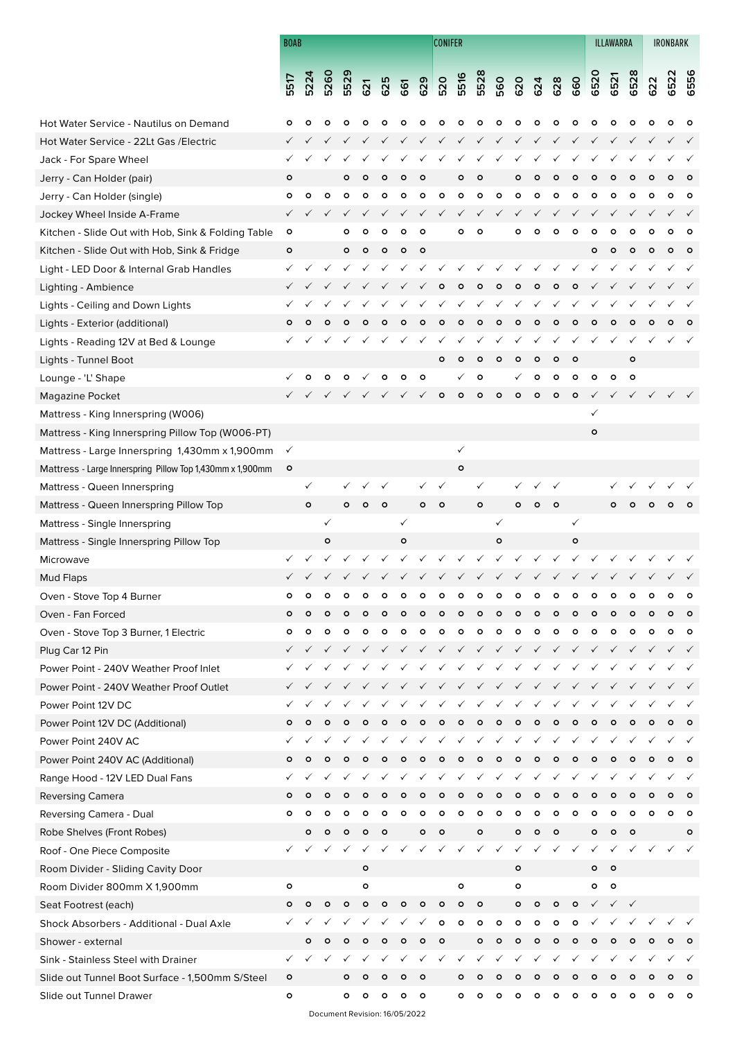|                                                           | <b>BOAB</b>  |              |              |              |              |              |              |              | <b>CONIFER</b> |              |              |              |              |              |              |              |              | ILLAWARRA    |              | <b>IRONBARK</b> |         |              |
|-----------------------------------------------------------|--------------|--------------|--------------|--------------|--------------|--------------|--------------|--------------|----------------|--------------|--------------|--------------|--------------|--------------|--------------|--------------|--------------|--------------|--------------|-----------------|---------|--------------|
|                                                           |              |              |              |              |              |              |              |              |                |              |              |              |              |              |              |              |              |              |              |                 |         |              |
|                                                           | 5517         | 5224         | <b>5260</b>  | 5529         | 621          | 625          | 661          | 629          | 520            | 5516         | 5528         | 560          | 620          | 624          | 628          | 660          | 6520         | 6521         | 6528         | 622             | 6522    | 6556         |
|                                                           |              |              |              |              |              |              |              |              |                |              |              |              |              |              |              |              |              |              |              |                 |         |              |
| Hot Water Service - Nautilus on Demand                    | ٥            | ٥            | ۰            | ۰            | ۰            | Ο            |              | Ο            | Ο              | $\circ$      | ۰            | ۰            | ۰            | ۰            | ۰            | $\circ$      | ۰            | Ο            |              |                 |         |              |
| Hot Water Service - 22Lt Gas / Electric                   |              |              |              |              |              |              |              |              |                |              |              |              |              |              |              |              |              |              |              |                 |         |              |
| Jack - For Spare Wheel                                    |              |              |              |              |              |              |              |              |                |              |              |              |              |              |              |              |              |              |              |                 |         |              |
| Jerry - Can Holder (pair)                                 | $\circ$      |              |              | ۰            |              |              |              |              |                |              |              |              | ۰            |              |              |              |              |              |              |                 |         |              |
| Jerry - Can Holder (single)                               | ۰            | $\circ$      | o            | $\circ$      | ۰            | ۰            | ۰            | $\circ$      | o              | $\circ$      | ۰            | o            | $\circ$      | $\circ$      | ۰            | ۰            | ۰            | ۰            | ۰            | ۰               | o       | $\circ$      |
| Jockey Wheel Inside A-Frame                               | $\checkmark$ |              |              |              |              |              |              |              |                |              |              |              |              |              |              |              |              |              |              |                 |         |              |
| Kitchen - Slide Out with Hob, Sink & Folding Table        | $\circ$      |              |              | ۰            | ۰            | ۰            | c            | $\circ$      |                | ۰            | $\circ$      |              | ۰            | ۰            | ۰            | $\circ$      | ۰            | ۰            | ۰            | o               | o       | $\circ$      |
| Kitchen - Slide Out with Hob, Sink & Fridge               | ۰            |              |              | $\circ$      | $\circ$      | $\circ$      | $\circ$      | $\circ$      |                |              |              |              |              |              |              |              | ۰            |              |              |                 |         | $\circ$      |
| Light - LED Door & Internal Grab Handles                  | ✓            | $\checkmark$ |              |              |              |              |              |              |                | $\checkmark$ | $\checkmark$ |              | $\checkmark$ | $\checkmark$ | $\checkmark$ | $\checkmark$ |              |              |              |                 |         |              |
| Lighting - Ambience                                       |              |              |              |              |              |              |              |              | ۰              | $\circ$      | $\circ$      | $\circ$      | $\circ$      | $\circ$      | $\circ$      | $\circ$      |              |              |              |                 |         |              |
| Lights - Ceiling and Down Lights                          |              |              |              |              |              |              |              |              |                |              |              |              |              |              |              |              |              |              |              |                 |         |              |
| Lights - Exterior (additional)                            | ۰            | $\circ$      | $\circ$      | $\circ$      | $\circ$      | ٥            | $\circ$      | $\circ$      | $\circ$        | $\circ$      | $\circ$      | $\circ$      | $\circ$      | $\circ$      | $\circ$      | $\circ$      | $\circ$      | $\circ$      | ٥            |                 |         | $\circ$      |
| Lights - Reading 12V at Bed & Lounge                      |              |              |              |              |              |              |              |              |                |              |              |              |              |              |              |              |              |              |              |                 |         |              |
| Lights - Tunnel Boot                                      |              |              |              |              |              |              |              |              | o              | $\circ$      | $\circ$      | $\circ$      | $\circ$      | $\circ$      | $\circ$      | $\circ$      |              |              | $\circ$      |                 |         |              |
| Lounge - 'L' Shape                                        |              |              |              | ۰            |              |              |              | $\circ$      |                |              | $\circ$      |              |              | $\circ$      | $\circ$      | $\circ$      | $\circ$      | ۰            | $\circ$      |                 |         |              |
| Magazine Pocket                                           |              |              |              |              |              |              |              |              | $\circ$        | $\circ$      | $\circ$      | $\circ$      | ۰            | $\circ$      | $\circ$      | $\circ$      | $\checkmark$ |              |              |                 |         |              |
| Mattress - King Innerspring (W006)                        |              |              |              |              |              |              |              |              |                |              |              |              |              |              |              |              | ✓            |              |              |                 |         |              |
| Mattress - King Innerspring Pillow Top (W006-PT)          |              |              |              |              |              |              |              |              |                |              |              |              |              |              |              |              | $\mathsf{o}$ |              |              |                 |         |              |
| Mattress - Large Innerspring 1,430mm x 1,900mm            | $\checkmark$ |              |              |              |              |              |              |              |                | $\checkmark$ |              |              |              |              |              |              |              |              |              |                 |         |              |
| Mattress - Large Innerspring Pillow Top 1,430mm x 1,900mm | $\circ$      |              |              |              |              |              |              |              |                | $\circ$      |              |              |              |              |              |              |              |              |              |                 |         |              |
|                                                           |              | ✓            |              |              |              |              |              |              |                |              | ✓            |              |              |              |              |              |              |              |              |                 |         |              |
| Mattress - Queen Innerspring                              |              | $\circ$      |              | ۰            | $\circ$      | $\circ$      |              | $\circ$      | $\circ$        |              | $\mathsf{o}$ |              | ۰            | ۰            | $\circ$      |              |              | Ο            |              |                 |         |              |
| Mattress - Queen Innerspring Pillow Top                   |              |              | ✓            |              |              |              |              |              |                |              |              | ✓            |              |              |              | $\checkmark$ |              |              |              |                 |         |              |
| Mattress - Single Innerspring                             |              |              |              |              |              |              | $\checkmark$ |              |                |              |              |              |              |              |              |              |              |              |              |                 |         |              |
| Mattress - Single Innerspring Pillow Top                  |              |              | $\circ$      |              |              |              | $\circ$      |              |                |              |              | o            |              |              |              | $\circ$      |              |              |              |                 |         |              |
| Microwave                                                 |              |              |              |              |              |              |              |              |                |              |              |              |              |              |              |              |              |              |              |                 |         |              |
| <b>Mud Flaps</b>                                          |              |              |              |              |              |              |              |              |                |              |              |              |              |              |              |              |              |              |              |                 |         |              |
| Oven - Stove Top 4 Burner                                 | ۰            | $\circ$      | ۰            | ۰            | ۰            | ۰            | ۰            | ۰            | ۰              | ۰            | ۰            | ۰            | ۰            | ۰            | ۰            | ۰            | ۰            | ۰            | ۰            | ۰               | ۰       | $\circ$      |
| Oven - Fan Forced                                         | ۰            | $\circ$      | $\circ$      | $\circ$      | Ο            |              |              |              | Ο              | о            | ο            | Ο            | ۰            | $\circ$      | ۰            | $\circ$      | $\circ$      | Ο            | ٥            | ٥               |         | $\circ$      |
| Oven - Stove Top 3 Burner, 1 Electric                     | ۰            | ۰            | ۰            | ۰            | ۰            | ۰            | ۰            | ۰            | o              | ۰            | ۰            | ۰            | ۰            | ۰            | o            | $\circ$      | ۰            | ۰            | $\circ$      | ۰               | ۰       | $\circ$      |
| Plug Car 12 Pin                                           | $\checkmark$ | $\checkmark$ | $\checkmark$ | $\checkmark$ |              |              |              |              | $\checkmark$   | $\checkmark$ | $\checkmark$ | $\checkmark$ | $\checkmark$ | $\checkmark$ | $\checkmark$ | $\checkmark$ | $\checkmark$ |              |              |                 |         |              |
| Power Point - 240V Weather Proof Inlet                    |              |              | $\checkmark$ |              |              |              |              |              |                | $\checkmark$ | $\checkmark$ | $\checkmark$ | $\checkmark$ | $\checkmark$ | ✓            | $\checkmark$ | ✓            |              |              |                 |         | $\checkmark$ |
| Power Point - 240V Weather Proof Outlet                   |              |              | $\checkmark$ | $\checkmark$ | $\checkmark$ | $\checkmark$ | $\checkmark$ | $\checkmark$ | $\checkmark$   | $\checkmark$ | $\checkmark$ | $\checkmark$ | $\checkmark$ | $\checkmark$ | $\checkmark$ | $\checkmark$ | $\checkmark$ | $\checkmark$ | $\checkmark$ |                 |         | $\checkmark$ |
| Power Point 12V DC                                        |              |              | ✓            |              |              |              |              |              | ✓              | ✓            | $\checkmark$ | $\checkmark$ | $\checkmark$ | $\checkmark$ | ✓            | $\checkmark$ |              |              |              |                 |         |              |
| Power Point 12V DC (Additional)                           | ۰            | $\circ$      | $\circ$      | $\circ$      | $\circ$      | ۰            | $\circ$      | $\circ$      | $\circ$        | $\circ$      | $\circ$      | $\circ$      | $\circ$      | $\circ$      | $\circ$      | $\circ$      | $\circ$      | $\circ$      | $\circ$      | ۰               | ۰       | $\circ$      |
| Power Point 240V AC                                       |              |              |              | ✓            |              |              |              |              |                | $\checkmark$ | $\checkmark$ | $\checkmark$ | $\checkmark$ | $\checkmark$ | $\checkmark$ | $\checkmark$ |              |              |              |                 |         |              |
| Power Point 240V AC (Additional)                          | ۰            | ۰            | $\circ$      | $\circ$      | $\circ$      | $\circ$      | $\circ$      | $\circ$      | $\circ$        | $\circ$      | $\circ$      | $\circ$      | $\circ$      | $\circ$      | $\circ$      | $\circ$      | $\circ$      | $\circ$      | $\circ$      | ۰               | $\circ$ | $\circ$      |
| Range Hood - 12V LED Dual Fans                            |              |              |              |              |              |              |              |              |                |              |              |              |              |              |              |              |              |              |              |                 |         | $\checkmark$ |
| <b>Reversing Camera</b>                                   | ۰            | ۰            | $\circ$      | $\circ$      | ۰            | $\circ$      | $\circ$      | $\circ$      | $\circ$        | $\circ$      | $\circ$      | $\circ$      | $\circ$      | $\circ$      | $\circ$      | $\circ$      | $\circ$      | ۰            | $\circ$      | $\circ$         | ۰       | $\circ$      |
| Reversing Camera - Dual                                   | $\circ$      | $\circ$      | $\circ$      | $\circ$      | ۰            | ۰            | $\circ$      | o            | $\circ$        | $\circ$      | $\circ$      | o            | $\circ$      | $\circ$      | o            | $\circ$      | $\circ$      | $\circ$      | $\circ$      | $\circ$         | $\circ$ | $\circ$      |
| Robe Shelves (Front Robes)                                |              | $\circ$      | $\circ$      | $\circ$      | $\circ$      | $\circ$      |              | $\circ$      | $\circ$        |              | $\mathbf{o}$ |              | $\circ$      | $\circ$      | $\circ$      |              | $\circ$      | $\circ$      | $\circ$      |                 |         | $\circ$      |
| Roof - One Piece Composite                                |              |              |              | $\checkmark$ |              |              |              |              |                |              | ✓            | $\checkmark$ | ✓            |              |              | $\checkmark$ | ✓            |              |              |                 |         |              |
| Room Divider - Sliding Cavity Door                        |              |              |              |              | $\mathbf{o}$ |              |              |              |                |              |              |              | $\circ$      |              |              |              | o            | $\circ$      |              |                 |         |              |
| Room Divider 800mm X 1,900mm                              | ۰            |              |              |              | $\circ$      |              |              |              |                | ۰            |              |              | $\circ$      |              |              |              | ۰            | $\circ$      |              |                 |         |              |
| Seat Footrest (each)                                      | $\circ$      | $\circ$      | $\circ$      | $\circ$      | $\circ$      | $\circ$      | $\circ$      | $\circ$      | $\circ$        | ۰            | $\circ$      |              | $\circ$      | ۰            | $\circ$      | $\circ$      | $\checkmark$ | $\checkmark$ | $\checkmark$ |                 |         |              |
| Shock Absorbers - Additional - Dual Axle                  |              |              |              | ✓            |              |              |              |              | ۰              | $\circ$      | $\circ$      | ۰            | $\circ$      | ۰            | ۰            | $\circ$      |              |              |              |                 |         |              |
| Shower - external                                         |              | $\circ$      | $\circ$      | ۰            | ۰            |              |              | $\circ$      | $\circ$        |              | $\circ$      |              | ۰            | ۰            | ۰            |              |              |              |              |                 |         | $\circ$      |
| Sink - Stainless Steel with Drainer                       | ✓            |              | ✓            | ✓            |              |              | ✓            | ✓            | ✓              | ✓            | ✓            | ✓            | ✓            | ✓            | $\checkmark$ | ✓            | ✓            |              |              |                 |         | $\checkmark$ |
| Slide out Tunnel Boot Surface - 1,500mm S/Steel           | $\circ$      |              |              | $\circ$      | $\circ$      | $\circ$      | $\circ$      | $\circ$      |                | ۰            | $\circ$      | ۰            | ۰            | $\circ$      | $\circ$      | $\circ$      | $\circ$      |              |              |                 |         | $\circ$      |
| Slide out Tunnel Drawer                                   | $\circ$      |              |              | o            | $\circ$      | ۰            | ۰            | $\circ$      |                | ۰            | ۰            | ۰            | $\circ$      | ۰            | o            | $\circ$      | $\circ$      | ۰            | $\circ$      | ۰               | o       | $\circ$      |

Document Revision: 16/05/2022